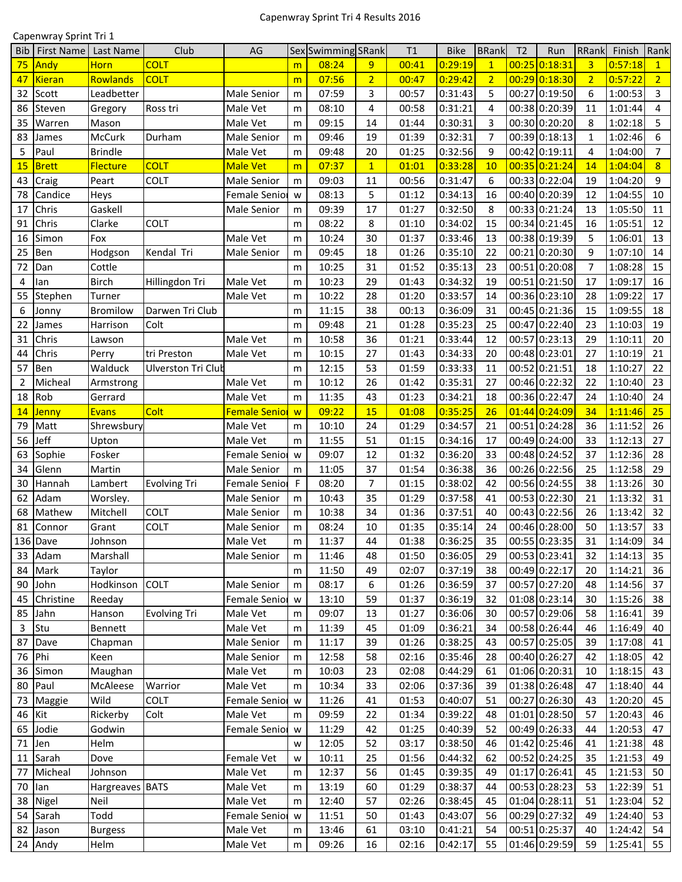## Capenwray Sprint Tri 4 Results 2016

|            | Capenwray Sprint Tri 1 |                 |                     |                      |           |                    |                |       |             |                |                |               |                |              |                |
|------------|------------------------|-----------------|---------------------|----------------------|-----------|--------------------|----------------|-------|-------------|----------------|----------------|---------------|----------------|--------------|----------------|
| <b>Bib</b> | <b>First Name</b>      | Last Name       | Club                | AG                   |           | Sex Swimming SRank |                | T1    | <b>Bike</b> | <b>BRank</b>   | T <sub>2</sub> | Run           | RRank          | Finish       | Rank           |
| 75         | Andy                   | <b>Horn</b>     | <b>COLT</b>         |                      | m         | 08:24              | 9              | 00:41 | 0:29:19     | $\mathbf{1}$   |                | 00:25 0:18:31 | $\overline{3}$ | 0:57:18      | $\mathbf{1}$   |
| 47         | Kieran                 | Rowlands        | <b>COLT</b>         |                      | m         | 07:56              | $\overline{2}$ | 00:47 | 0:29:42     | $\overline{2}$ |                | 00:29 0:18:30 | $\overline{2}$ | 0:57:22      | $\overline{2}$ |
| 32         | Scott                  | Leadbetter      |                     | <b>Male Senior</b>   | m         | 07:59              | 3              | 00:57 | 0:31:43     | 5              |                | 00:27 0:19:50 | 6              | 1:00:53      | 3              |
| 86         | Steven                 | Gregory         | Ross tri            | Male Vet             | m         | 08:10              | 4              | 00:58 | 0:31:21     | 4              |                | 00:38 0:20:39 | 11             | 1:01:44      | $\overline{4}$ |
| 35         | Warren                 | Mason           |                     | Male Vet             | m         | 09:15              | 14             | 01:44 | 0:30:31     | 3              |                | 00:30 0:20:20 | 8              | 1:02:18      | 5              |
| 83         | James                  | McCurk          | Durham              | Male Senior          | m         | 09:46              | 19             | 01:39 | 0:32:31     | $\overline{7}$ |                | 00:39 0:18:13 | $\mathbf{1}$   | 1:02:46      | 6              |
| 5          | Paul                   | <b>Brindle</b>  |                     | Male Vet             | m         | 09:48              | 20             | 01:25 | 0:32:56     | 9              |                | 00:42 0:19:11 | 4              | 1:04:00      | $\overline{7}$ |
| 15         | <b>Brett</b>           | <b>Flecture</b> | <b>COLT</b>         | <b>Male Vet</b>      | m         | 07:37              | $\mathbf{1}$   | 01:01 | 0:33:28     | 10             |                | 00:35 0:21:24 | 14             | 1:04:04      | 8              |
| 43         | Craig                  | Peart           | COLT                | Male Senior          | m         | 09:03              | 11             | 00:56 | 0:31:47     | 6              |                | 00:33 0:22:04 | 19             | 1:04:20      | 9              |
| 78         | Candice                | Heys            |                     | Female Senior        | W         | 08:13              | 5              | 01:12 | 0:34:13     | 16             |                | 00:40 0:20:39 | 12             | 1:04:55      | 10             |
| 17         | Chris                  | Gaskell         |                     | Male Senior          | m         | 09:39              | 17             | 01:27 | 0:32:50     | 8              |                | 00:33 0:21:24 | 13             | 1:05:50      | 11             |
| 91         | Chris                  | Clarke          | COLT                |                      | m         | 08:22              | 8              | 01:10 | 0:34:02     | 15             |                | 00:34 0:21:45 | 16             | 1:05:51      | 12             |
| 16         | Simon                  | Fox             |                     | Male Vet             | m         | 10:24              | 30             | 01:37 | 0:33:46     | 13             |                | 00:38 0:19:39 | 5              | 1:06:01      | 13             |
| 25         | Ben                    | Hodgson         | Kendal Tri          | Male Senior          | m         | 09:45              | 18             | 01:26 | 0:35:10     | 22             |                | 00:21 0:20:30 | 9              | 1:07:10      | 14             |
| 72         | Dan                    | Cottle          |                     |                      | m         | 10:25              | 31             | 01:52 | 0:35:13     | 23             |                | 00:51 0:20:08 | $\overline{7}$ | 1:08:28      | 15             |
| 4          | lan                    | <b>Birch</b>    | Hillingdon Tri      | Male Vet             | m         | 10:23              | 29             | 01:43 | 0:34:32     | 19             |                | 00:51 0:21:50 | 17             | 1:09:17      | 16             |
| 55         | Stephen                | Turner          |                     | Male Vet             | m         | 10:22              | 28             | 01:20 | 0:33:57     | 14             |                | 00:36 0:23:10 | 28             | 1:09:22      | 17             |
| 6          | Jonny                  | <b>Bromilow</b> | Darwen Tri Club     |                      | m         | 11:15              | 38             | 00:13 | 0:36:09     | 31             |                | 00:45 0:21:36 | 15             | 1:09:55      | 18             |
| 22         | James                  | Harrison        | Colt                |                      | m         | 09:48              | 21             | 01:28 | 0:35:23     | 25             |                | 00:47 0:22:40 | 23             | 1:10:03      | 19             |
| 31         | Chris                  | Lawson          |                     | Male Vet             | m         | 10:58              | 36             | 01:21 | 0:33:44     | 12             |                | 00:57 0:23:13 | 29             | 1:10:11      | 20             |
| 44         | Chris                  | Perry           | tri Preston         | Male Vet             | m         | 10:15              | 27             | 01:43 | 0:34:33     | 20             |                | 00:48 0:23:01 | 27             | 1:10:19      | 21             |
| 57         | Ben                    | Walduck         | Ulverston Tri Club  |                      |           | 12:15              | 53             | 01:59 | 0:33:33     | 11             |                | 00:52 0:21:51 | 18             | 1:10:27      | 22             |
| 2          | Micheal                |                 |                     |                      | m         | 10:12              | 26             | 01:42 | 0:35:31     | 27             |                | 00:46 0:22:32 | 22             | 1:10:40      | 23             |
|            | Rob                    | Armstrong       |                     | Male Vet             | m         |                    | 43             |       | 0:34:21     | 18             |                | 00:36 0:22:47 | 24             | 1:10:40      | 24             |
| 18         |                        | Gerrard         | Colt                | Male Vet             | m         | 11:35              | 15             | 01:23 |             | 26             |                |               |                |              |                |
| 14         | Jenny                  | <b>Evans</b>    |                     | <b>Female Senior</b> | W         | 09:22              |                | 01:08 | 0:35:25     |                |                | 01:44 0:24:09 | 34             | 1:11:46      | 25             |
| 79         | Matt                   | Shrewsbury      |                     | Male Vet             | m         | 10:10              | 24             | 01:29 | 0:34:57     | 21             |                | 00:51 0:24:28 | 36             | 1:11:52      | 26             |
| 56         | Jeff                   | Upton           |                     | Male Vet             | m         | 11:55              | 51             | 01:15 | 0:34:16     | 17             |                | 00:49 0:24:00 | 33             | 1:12:13      | 27             |
| 63         | Sophie                 | Fosker          |                     | Female Senior        | w         | 09:07              | 12             | 01:32 | 0:36:20     | 33             |                | 00:48 0:24:52 | 37             | 1:12:36      | 28             |
| 34         | Glenn                  | Martin          |                     | <b>Male Senior</b>   | m         | 11:05              | 37             | 01:54 | 0:36:38     | 36             |                | 00:26 0:22:56 | 25             | 1:12:58      | 29             |
| 30         | Hannah                 | Lambert         | <b>Evolving Tri</b> | Female Senior        | F         | 08:20              | $\overline{7}$ | 01:15 | 0:38:02     | 42             |                | 00:56 0:24:55 | 38             | 1:13:26      | 30             |
| 62         | Adam                   | Worsley.        |                     | <b>Male Senior</b>   | m         | 10:43              | 35             | 01:29 | 0:37:58     | 41             |                | 00:53 0:22:30 | 21             | 1:13:32      | 31             |
| 68         | Mathew                 | Mitchell        | COLT                | Male Senior          | m         | 10:38              | 34             | 01:36 | 0:37:51     | 40             |                | 00:43 0:22:56 | 26             | 1:13:42      | 32             |
|            | 81 Connor              | Grant           | <b>COLT</b>         | Male Senior          | ${\sf m}$ | 08:24              | 10             | 01:35 | 0:35:14     | 24             |                | 00:46 0:28:00 | 50             | 1:13:57      | 33             |
|            | 136 Dave               | Johnson         |                     | Male Vet             | m         | 11:37              | 44             | 01:38 | 0:36:25     | 35             |                | 00:55 0:23:35 | 31             | 1:14:09      | 34             |
|            | 33 Adam                | Marshall        |                     | <b>Male Senior</b>   | m         | 11:46              | 48             | 01:50 | 0:36:05     | 29             |                | 00:53 0:23:41 | 32             | 1:14:13      | 35             |
|            | 84 Mark                | Taylor          |                     |                      | m         | 11:50              | 49             | 02:07 | 0:37:19     | 38             |                | 00:49 0:22:17 | 20             | 1:14:21      | 36             |
|            | 90 John                | Hodkinson       | <b>COLT</b>         | Male Senior          | m         | 08:17              | 6              | 01:26 | 0:36:59     | 37             |                | 00:57 0:27:20 | 48             | 1:14:56      | 37             |
|            | 45 Christine           | Reeday          |                     | Female Senior        | W         | 13:10              | 59             | 01:37 | 0:36:19     | 32             |                | 01:08 0:23:14 | 30             | 1:15:26      | 38             |
|            | 85 Jahn                | Hanson          | <b>Evolving Tri</b> | Male Vet             | m         | 09:07              | 13             | 01:27 | 0:36:06     | 30             |                | 00:57 0:29:06 | 58             | 1:16:41      | 39             |
| 3          | Stu                    | Bennett         |                     | Male Vet             | m         | 11:39              | 45             | 01:09 | 0:36:21     | 34             |                | 00:58 0:26:44 | 46             | 1:16:49      | 40             |
| 87         | Dave                   | Chapman         |                     | <b>Male Senior</b>   | m         | 11:17              | 39             | 01:26 | 0:38:25     | 43             |                | 00:57 0:25:05 | 39             | 1:17:08      | 41             |
|            | 76 Phi                 | Keen            |                     | <b>Male Senior</b>   | m         | 12:58              | 58             | 02:16 | 0:35:46     | 28             |                | 00:40 0:26:27 | 42             | 1:18:05      | 42             |
|            | 36 Simon               | Maughan         |                     | Male Vet             | m         | 10:03              | 23             | 02:08 | 0:44:29     | 61             |                | 01:06 0:20:31 | 10             | 1:18:15      | 43             |
|            | 80 Paul                | McAleese        | Warrior             | Male Vet             | m         | 10:34              | 33             | 02:06 | 0:37:36     | 39             |                | 01:38 0:26:48 | 47             | 1:18:40      | 44             |
|            | 73 Maggie              | Wild            | <b>COLT</b>         | Female Senior        | W         | 11:26              | 41             | 01:53 | 0:40:07     | 51             |                | 00:27 0:26:30 | 43             | 1:20:20      | 45             |
| 46 Kit     |                        | Rickerby        | Colt                | Male Vet             | m         | 09:59              | 22             | 01:34 | 0:39:22     | 48             |                | 01:01 0:28:50 | 57             | 1:20:43      | 46             |
|            | 65 Jodie               | Godwin          |                     | Female Senior        | w         | 11:29              | 42             | 01:25 | 0:40:39     | 52             |                | 00:49 0:26:33 | 44             | 1:20:53      | 47             |
|            | 71 Jen                 | Helm            |                     |                      | W         | 12:05              | 52             | 03:17 | 0:38:50     | 46             |                | 01:42 0:25:46 | 41             | 1:21:38      | 48             |
|            | 11 Sarah               | Dove            |                     | Female Vet           | W         | 10:11              | 25             | 01:56 | 0:44:32     | 62             |                | 00:52 0:24:25 | 35             | 1:21:53      | 49             |
| 77         | Micheal                | Johnson         |                     | Male Vet             | m         | 12:37              | 56             | 01:45 | 0:39:35     | 49             |                | 01:17 0:26:41 | 45             | 1:21:53      | 50             |
| 70         | lan                    | Hargreaves BATS |                     | Male Vet             | m         | 13:19              | 60             | 01:29 | 0:38:37     | 44             |                | 00:53 0:28:23 | 53             | 1:22:39      | 51             |
| 38         | Nigel                  | Neil            |                     | Male Vet             | m         | 12:40              | 57             | 02:26 | 0:38:45     | 45             |                | 01:04 0:28:11 | 51             | 1:23:04      | 52             |
|            | 54 Sarah               | Todd            |                     | Female Senior        | W         | 11:51              | 50             | 01:43 | 0:43:07     | 56             |                | 00:29 0:27:32 | 49             | 1:24:40      | 53             |
|            | 82 Jason               | <b>Burgess</b>  |                     | Male Vet             | m         | 13:46              | 61             | 03:10 | 0:41:21     | 54             |                | 00:51 0:25:37 | 40             | 1:24:42      | 54             |
|            | 24 Andy                | Helm            |                     | Male Vet             | m         | 09:26              | 16             | 02:16 | 0:42:17     | 55             |                | 01:46 0:29:59 | 59             | $1:25:41$ 55 |                |